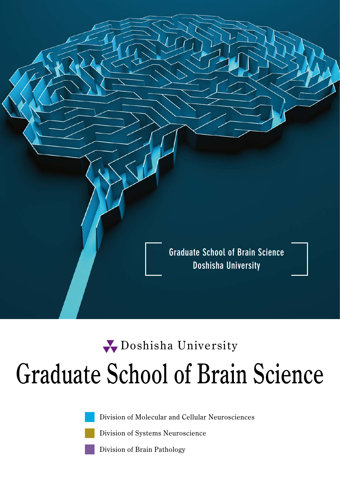

# Graduate School of Brain Science Doshisha University

Division of Molecular and Cellular Neurosciences

Division of Systems Neuroscience

Division of Brain Pathology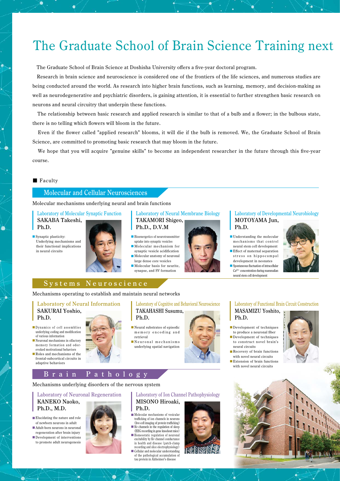## The Graduate School of Brain Science Training next

The Graduate School of Brain Science at Doshisha University offers a five-year doctoral program.

 Research in brain science and neuroscience is considered one of the frontiers of the life sciences, and numerous studies are being conducted around the world. As research into higher brain functions, such as learning, memory, and decision-making as well as neurodegenerative and psychiatric disorders, is gaining attention, it is essential to further strengthen basic research on neurons and neural circuitry that underpin these functions.

 The relationship between basic research and applied research is similar to that of a bulb and a flower; in the bulbous state, there is no telling which flowers will bloom in the future.

 Even if the flower called "applied research" blooms, it will die if the bulb is removed. We, the Graduate School of Brain Science, are committed to promoting basic research that may bloom in the future.

 We hope that you will acquire "genuine skills" to become an independent researcher in the future through this five-year course.

#### ■ Faculty

-6

۵

#### Molecular and Cellular Neurosciences

Molecular mechanisms underlying neural and brain functions

Laboratory of Molecular Synaptic Function SAKABA Takeshi, Ph.D.

■ Synaptic plasticity: Underlying mechanisms and their functional implications in neural circuits





- uptake into synaptic vesicles ■Molecular mechanism for
- synaptic vesicle acidification ■ Molecular anatomy of neuronal
- large dense core vesicles ■ Molecular basis for neurite,
- synapse, and SV formation



#### Laboratory of Developmental Neurobiology MOTOYAMA Jun, Ph.D.

- Understanding the molecular mechanisms that control neural stem cell development
- Effect of maternal separation stress on hippocampal
- development in neonates ■ Spontaneous fluctuation of intracellular Ca2+ concentration during mammalian neural stem cell development

#### Systems Neuroscience

Mechanisms operating to establish and maintain neural networks

#### Laboratory of Neural Information SAKURAI Yoshio, Ph.D.

- Dynamics of cell assemblies underlying coding and modification
- of various information ■ Neuronal mechanisms in olfactory memory formation and odorevoked motivational behaviors
- Roles and mechanisms of the frontal-subcortical circuits in adaptive behaviors

#### Laboratory of Cognitive and Behavioral Neuroscience TAKAHASHI Susumu,

■ Neural substrates of episodic memory encoding and retrieval

Ph.D.

■Neuronal mechanisms underlying spatial navigation



#### Laboratory of Functional Brain Circuit Construction MASAMIZU Yoshito, Ph.D.

- ■Development of techniques to produce a neuronal fiber
- ■Development of techniques to construct novel brain's neural circuits
- Recovery of brain functions with novel neural circuits
- ■Extension of brain functions
- with novel neural circuits



Brain Pathology

Mechanisms underlying disorders of the nervous system

#### Laboratory of Neuronal Regeneration KANEKO Naoko, Ph.D., M.D.

- Elucidating the nature and role of newborn neurons in adult
- Adult-born neurons in neuronal regeneration after brain injury ■Development of interventions
- to promote adult neurogenesis



#### Laboratory of Ion Channel Pathophysiology MISONO Hiroaki,

- Ph.D. ■ Molecular mechanisms of vesicular trafficking of ion channels in neurons (live-cell imaging of protein trafficking) ■ Ky channels in the regulation of sleep (EEG recording in gene knockout mice) ■Homeostatic regulation of neuronal
- excitability by Kv channel conductance in health and disease (patch-clamp recording and slice electrophysiology)
- Cellular and molecular understanding of the pathological accumulation of tau protein in Alzheimer's disease



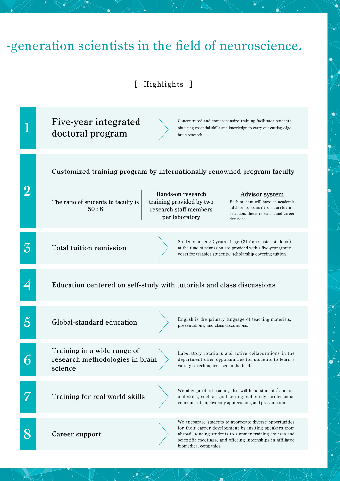## -generation scientists in the field of neuroscience.

### [ Highlights ]

|                          | Five-year integrated<br>Concentrated and comprehensive training facilitates students<br>obtaining essential skills and knowledge to carry out cutting-edge<br>doctoral program<br>brain research.                                                                                            |
|--------------------------|----------------------------------------------------------------------------------------------------------------------------------------------------------------------------------------------------------------------------------------------------------------------------------------------|
|                          | Customized training program by internationally renowned program faculty                                                                                                                                                                                                                      |
|                          | Hands-on research<br>Advisor system<br>training provided by two<br>The ratio of students to faculty is<br>Each student will have an academic<br>advisor to consult on curriculum<br>50:8<br>research staff members<br>selection, thesis research, and career<br>per laboratory<br>decisions. |
| $\mathcal{\overline{3}}$ | Students under 32 years of age (34 for transfer students)<br><b>Total tuition remission</b><br>at the time of admission are provided with a five-year (three<br>years for transfer students) scholarship covering tuition.                                                                   |
|                          | Education centered on self-study with tutorials and class discussions                                                                                                                                                                                                                        |
|                          | English is the primary language of teaching materials,<br>Global-standard education<br>presentations, and class discussions.                                                                                                                                                                 |
|                          | Training in a wide range of<br>Laboratory rotations and active collaborations in the<br>research methodologies in brain<br>department offer opportunities for students to learn a<br>variety of techniques used in the field.<br>science                                                     |
|                          | We offer practical training that will hone students' abilities<br>Training for real world skills<br>and skills, such as goal setting, self-study, professional<br>communication, diversity appreciation, and presentation.                                                                   |
|                          | We encourage students to appreciate diverse opportunities<br>for their career development by inviting speakers from<br>Career support<br>abroad, sending students to summer training courses and<br>scientific meetings, and offering internships in affiliated<br>biomedical companies.     |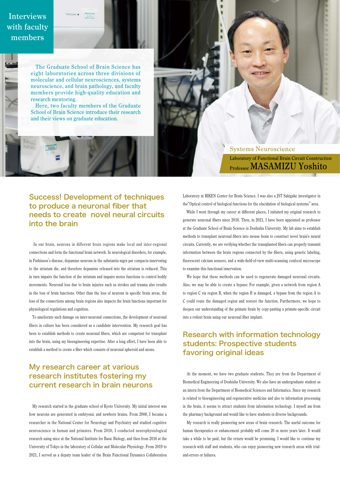### Interviews with faculty members

 The Graduate School of Brain Science has eight laboratories across three divisions of molecular and cellular neurosciences, systems neuroscience, and brain pathology, and faculty members provide high-quality education and research mentoring. Here, two faculty members of the Graduate

School of Brain Science introduce their research and their views on graduate education.

> Systems Neuroscience Laboratory of Functional Brain Circuit Construction Professor MASAMIZU Yoshito

#### Success! Development of techniques to produce a neuronal fiber that needs to create novel neural circuits into the brain

 In our brain, neurons in different brain regions make local and inter-regional connections and form the functional brain network. In neurological disorders, for example, in Parkinson's disease, dopamine neurons in the substantia nigra par compacta innervating to the striatum die, and therefore dopamine released into the striatum is reduced. This in turn impairs the function of the striatum and impairs motor functions to control bodily movements. Neuronal loss due to brain injuries such as strokes and trauma also results in the loss of brain functions. Other than the loss of neurons in specific brain areas, the loss of the connections among brain regions also impacts the brain functions important for physiological regulations and cognition.

 To ameliorate such damage on inter-neuronal connections, the development of neuronal fibers in culture has been considered as a candidate intervention. My research goal has been to establish methods to create neuronal fibers, which are competent for transplant into the brain, using my bioengineering expertise. After a long effort, I have been able to establish a method to create a fiber which consists of neuronal spheroid and axons.

#### My research career at various research institutes fostering my current research in brain neurons

 My research started in the graduate school of Kyoto University. My initial interest was how neurons are generated in embryonic and newborn brains. From 2008, I became a researcher in the National Center for Neurology and Psychiatry and studied cognitive neuroscience in human and primates. From 2010, I conducted neurophysiological research using mice at the National Institute for Basic Biology, and then from 2016 at the University of Tokyo in the laboratory of Cellular and Molecular Physiology. From 2019 to 2021, I served as a deputy team leader of the Brain Functional Dynamics Collaboration

Laboratory at RIKEN Center for Brain Science. I was also a JST Sakigake investigator in the"Optical control of biological functions for the elucidation of biological systems" area.

 While I went through my career at different places, I initiated my original research to generate neuronal fibers since 2018. Then, in 2021, I have been appointed as professor at the Graduate School of Brain Science in Doshisha University. My lab aims to establish methods to transplant neuronal fibers into mouse brain to construct novel brain's neural circuits. Currently, we are verifying whether the transplanted fibers can properly transmit information between the brain regions connected by the fibers, using genetic labeling, fluorescent calcium sensors, and a wide-field-of-view multi-scanning confocal microscope to examine this functional innervation.

 We hope that these methods can be used to regenerate damaged neuronal circuits. Also, we may be able to create a bypass: For example, given a network from region A to region C via region B, when the region B is damaged, a bypass from the region A to C could route the damaged region and restore the function. Furthermore, we hope to deepen our understanding of the primate brain by copy-pasting a primate-specific circuit into a rodent brain using our neuronal fiber implant.

#### Research with information technology students: Prospective students favoring original ideas

 At the moment, we have two graduate students. They are from the Department of Biomedical Engineering of Doshisha University. We also have an undergraduate student as an intern from the Department of Biomedical Sciences and Informatics. Since my research is related to bioengineering and regenerative medicine and also to information processing in the brain, it seems to attract students from information technology. I myself am from the pharmacy background and would like to have students in diverse backgrounds.

 My research is really pioneering new areas of brain research. The useful outcome for human therapeutics or enhancement probably will come 20 or more years later. It would take a while to be paid, but the return would be promising. I would like to continue my research with staff and students, who can enjoy pioneering new research areas with trialand-errors or failures.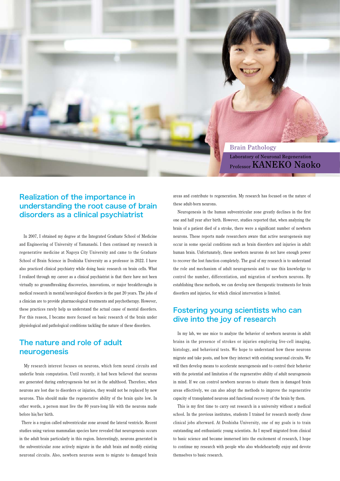

#### Realization of the importance in understanding the root cause of brain disorders as a clinical psychiatrist

 In 2007, I obtained my degree at the Integrated Graduate School of Medicine and Engineering of University of Yamanashi. I then continued my research in regenerative medicine at Nagoya City University and came to the Graduate School of Brain Science in Doshisha University as a professor in 2022. I have also practiced clinical psychiatry while doing basic research on brain cells. What I realized through my career as a clinical psychiatrist is that there have not been virtually no groundbreaking discoveries, innovations, or major breakthroughs in medical research in mental/neurological disorders in the past 20 years. The jobs of a clinician are to provide pharmacological treatments and psychotherapy. However, these practices rarely help us understand the actual cause of mental disorders. For this reason, I became more focused on basic research of the brain under physiological and pathological conditions tackling the nature of these disorders.

#### The nature and role of adult neurogenesis

 My research interest focuses on neurons, which form neural circuits and underlie brain computation. Until recently, it had been believed that neurons are generated during embryogenesis but not in the adulthood. Therefore, when neurons are lost due to disorders or injuries, they would not be replaced by new neurons. This should make the regenerative ability of the brain quite low. In other words, a person must live the 80 years-long life with the neurons made before his/her birth.

 There is a region called subventricular zone around the lateral ventricle. Recent studies using various mammalian species have revealed that neurogenesis occurs in the adult brain particularly in this region. Interestingly, neurons generated in the subventricular zone actively migrate in the adult brain and modify existing neuronal circuits. Also, newborn neurons seem to migrate to damaged brain areas and contribute to regeneration. My research has focused on the nature of these adult-born neurons.

 Neurogenesis in the human subventricular zone greatly declines in the first one and half year after birth. However, studies reported that, when analyzing the brain of a patient died of a stroke, there were a significant number of newborn neurons. These reports made researchers aware that active neurogenesis may occur in some special conditions such as brain disorders and injuries in adult human brain. Unfortunately, these newborn neurons do not have enough power to recover the lost function completely. The goal of my research is to understand the role and mechanism of adult neurogenesis and to use this knowledge to control the number, differentiation, and migration of newborn neurons. By establishing these methods, we can develop new therapeutic treatments for brain disorders and injuries, for which clinical intervention is limited.

#### Fostering young scientists who can dive into the joy of research

 In my lab, we use mice to analyze the behavior of newborn neurons in adult brains in the presence of strokes or injuries employing live-cell imaging, histology, and behavioral tests. We hope to understand how these neurons migrate and take posts, and how they interact with existing neuronal circuits. We will then develop means to accelerate neurogenesis and to control their behavior with the potential and limitation of the regenerative ability of adult neurogenesis in mind. If we can control newborn neurons to situate them in damaged brain areas effectively, we can also adopt the methods to improve the regenerative capacity of transplanted neurons and functional recovery of the brain by them.

 This is my first time to carry out research in a university without a medical school. In the previous institutes, students I trained for research mostly chose clinical jobs afterward. At Doshisha University, one of my goals is to train outstanding and enthusiastic young scientists. As I myself migrated from clinical to basic science and became immersed into the excitement of research, I hope to continue my research with people who also wholeheartedly enjoy and devote themselves to basic research.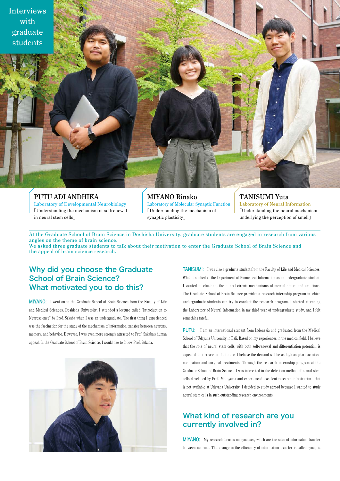

#### PUTU ADI ANDHIKA Laboratory of Developmental Neurobiology 「Understanding the mechanism of selfrenewal in neural stem cells」

MIYANO Rinako Laboratory of Molecular Synaptic Function 「Understanding the mechanism of synaptic plasticity」

#### TANISUMI Yuta

Laboratory of Neural Information 「Understanding the neural mechanism underlying the perception of smell」

At the Graduate School of Brain Science in Doshisha University, graduate students are engaged in research from various angles on the theme of brain science.

We asked three graduate students to talk about their motivation to enter the Graduate School of Brain Science and the appeal of brain science research.

#### Why did you choose the Graduate School of Brain Science? What motivated you to do this?

MIYANO: I went on to the Graduate School of Brain Science from the Faculty of Life and Medical Sciences, Doshisha University. I attended a lecture called "Introduction to Neuroscience" by Prof. Sakaba when I was an undergraduate. The first thing I experienced was the fascination for the study of the mechanism of information transfer between neurons, memory, and behavior. However, I was even more strongly attracted to Prof. Sakaba's human appeal. In the Graduate School of Brain Science, I would like to follow Prof. Sakaba.



TANISUMI: I was also a graduate student from the Faculty of Life and Medical Sciences. While I studied at the Department of Biomedical Information as an undergraduate student, I wanted to elucidate the neural circuit mechanisms of mental states and emotions. The Graduate School of Brain Science provides a research internship program in which undergraduate students can try to conduct the research program. I started attending the Laboratory of Neural Information in my third year of undergraduate study, and I felt something fateful.

PUTU: I am an international student from Indonesia and graduated from the Medical School of Udayana University in Bali. Based on my experiences in the medical field, I believe that the role of neural stem cells, with both self-renewal and differentiation potential, is expected to increase in the future. I believe the demand will be as high as pharmaceutical medication and surgical treatments. Through the research internship program at the Graduate School of Brain Science, I was interested in the detection method of neural stem cells developed by Prof. Motoyama and experienced excellent research infrastructure that is not available at Udayana University. I decided to study abroad because I wanted to study neural stem cells in such outstanding research environments.

#### What kind of research are you currently involved in?

MIYANO: My research focuses on synapses, which are the sites of information transfer between neurons. The change in the efficiency of information transfer is called synaptic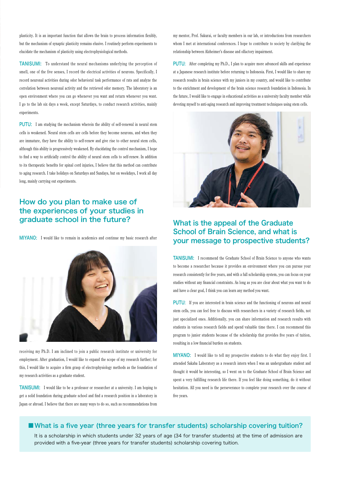plasticity. It is an important function that allows the brain to process information flexibly, but the mechanism of synaptic plasticity remains elusive. I routinely perform experiments to elucidate the mechanism of plasticity using electrophysiological methods.

TANISUMI: To understand the neural mechanisms underlying the perception of smell, one of the five senses, I record the electrical activities of neurons. Specifically, I record neuronal activities during odor behavioral task performance of rats and analyze the correlation between neuronal activity and the retrieved odor memory. The laboratory is an open environment where you can go whenever you want and return whenever you want. I go to the lab six days a week, except Saturdays, to conduct research activities, mainly experiments.

PUTU: I am studying the mechanism wherein the ability of self-renewal in neural stem cells is weakened. Neural stem cells are cells before they become neurons, and when they are immature, they have the ability to self-renew and give rise to other neural stem cells, although this ability is progressively weakened. By elucidating the control mechanism, I hope to find a way to artificially control the ability of neural stem cells to self-renew. In addition to its therapeutic benefits for spinal cord injuries, I believe that this method can contribute to aging research. I take holidays on Saturdays and Sundays, but on weekdays, I work all day long, mainly carrying out experiments.

#### How do you plan to make use of the experiences of your studies in graduate school in the future?

MIYANO: I would like to remain in academics and continue my basic research after



receiving my Ph.D. I am inclined to join a public research institute or university for employment. After graduation, I would like to expand the scope of my research further; for this, I would like to acquire a firm grasp of electrophysiology methods as the foundation of my research activities as a graduate student.

TANISUMI: I would like to be a professor or researcher at a university. I am hoping to get a solid foundation during graduate school and find a research position in a laboratory in Japan or abroad. I believe that there are many ways to do so, such as recommendations from

my mentor, Prof. Sakurai, or faculty members in our lab, or introductions from researchers whom I met at international conferences. I hope to contribute to society by clarifying the relationship between Alzheimer's disease and olfactory impairment.

PUTU: After completing my Ph.D., I plan to acquire more advanced skills and experience at a Japanese research institute before returning to Indonesia. First, I would like to share my research results in brain science with my juniors in my country, and would like to contribute to the enrichment and development of the brain science research foundation in Indonesia. In the future, I would like to engage in educational activities as a university faculty member while devoting myself to anti-aging research and improving treatment techniques using stem cells.



#### What is the appeal of the Graduate School of Brain Science, and what is your message to prospective students?

TANISUMI: I recommend the Graduate School of Brain Science to anyone who wants to become a researcher because it provides an environment where you can pursue your research consistently for five years, and with a full scholarship system, you can focus on your studies without any financial constraints. As long as you are clear about what you want to do and have a clear goal, I think you can learn any method you want.

PUTU: If you are interested in brain science and the functioning of neurons and neural stem cells, you can feel free to discuss with researchers in a variety of research fields, not just specialized ones. Additionally, you can share information and research results with students in various research fields and spend valuable time there. I can recommend this program to junior students because of the scholarship that provides five years of tuition, resulting in a low financial burden on students.

MIYANO: I would like to tell my prospective students to do what they enjoy first. I attended Sakaba Laboratory as a research intern when I was an undergraduate student and thought it would be interesting, so I went on to the Graduate School of Brain Science and spent a very fulfilling research life there. If you feel like doing something, do it without hesitation. All you need is the perseverance to complete your research over the course of five years.

#### ■What is a five year (three years for transfer students) scholarship covering tuition?

It is a scholarship in which students under 32 years of age (34 for transfer students) at the time of admission are provided with a five-year (three years for transfer students) scholarship covering tuition.